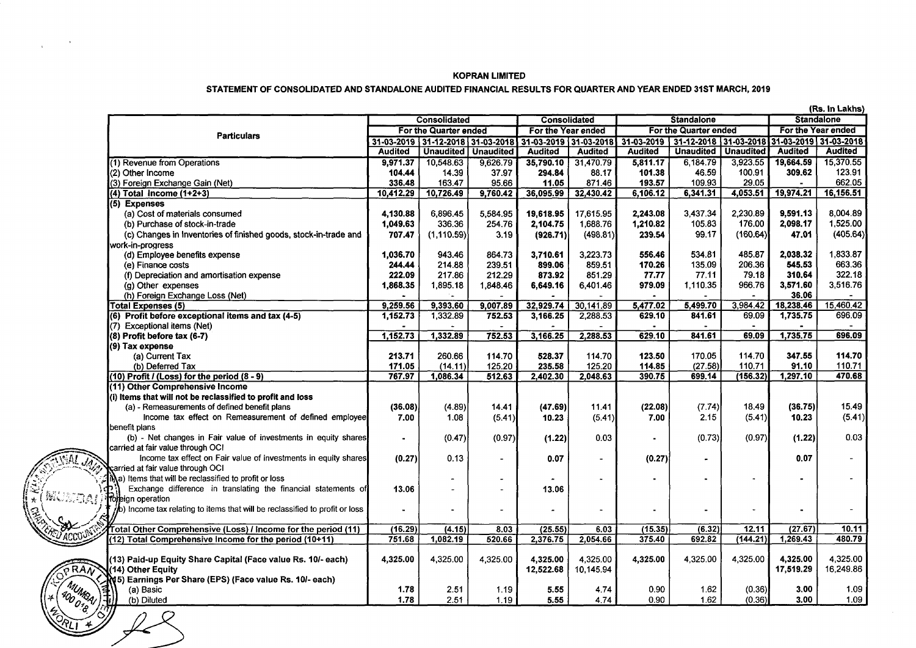#### KOPRAN LIMITED

#### STATEMENT OF CONSOLIDATED AND STANDALONE AUDITED FINANCIAL RESULTS FOR QUARTER AND YEAR ENDED 31ST MARCH, 2019

|                                                       |                                                                                            | (Rs. In Lakhs)        |                                  |           |                       |                     |                       |                                  |                          |                       |                   |  |
|-------------------------------------------------------|--------------------------------------------------------------------------------------------|-----------------------|----------------------------------|-----------|-----------------------|---------------------|-----------------------|----------------------------------|--------------------------|-----------------------|-------------------|--|
|                                                       |                                                                                            |                       | <b>Consolidated</b>              |           |                       | <b>Consolidated</b> |                       | <b>Standalone</b>                |                          |                       | <b>Standalone</b> |  |
|                                                       | <b>Particulars</b>                                                                         | For the Quarter ended |                                  |           | For the Year ended    |                     | For the Quarter ended |                                  |                          | For the Year ended    |                   |  |
|                                                       |                                                                                            |                       | 31-03-2019 31-12-2018 31-03-2018 |           | 31-03-2019 31-03-2018 |                     |                       | 31-03-2019 31-12-2018 31-03-2018 |                          | 31-03-2019 31-03-2018 |                   |  |
|                                                       |                                                                                            | <b>Audited</b>        | <b>Unaudited</b>                 | Unaudited | <b>Audited</b>        | <b>Audited</b>      | <b>Audited</b>        | <b>Unaudited</b>                 | <b>Unaudited</b>         | <b>Audited</b>        | Audited           |  |
|                                                       | (1) Revenue from Operations                                                                | 9.971.37              | 10,548.63                        | 9,626.79  | 35,790.10             | 31,470.79           | 5.811.17              | 6,184.79                         | 3.923.55                 | 19,664.59             | 15,370.55         |  |
|                                                       | (2) Other Income                                                                           | 104.44                | 14.39                            | 37.97     | 294.84                | 88.17               | 101.38                | 46.59                            | 100.91                   | 309.62                | 123.91            |  |
|                                                       | (3) Foreign Exchange Gain (Net)                                                            | 336.48                | 163.47                           | 95.66     | 11.05                 | 871.46              | 193.57                | 109.93                           | 29.05                    |                       | 662.05            |  |
|                                                       | $(4)$ Total Income $(1+2+3)$                                                               | 10,412.29             | 10,726.49                        | 9,760.42  | 36,095.99             | 32,430.42           | 6,106.12              | 6,341.31                         | 4,053.51                 | 19,974.21             | 16,156.51         |  |
|                                                       | (5) Expenses                                                                               |                       |                                  |           |                       |                     |                       |                                  |                          |                       |                   |  |
|                                                       | (a) Cost of materials consumed                                                             | 4.130.88              | 6.896.45                         | 5.584.95  | 19,618.95             | 17,615.95           | 2,243.08              | 3,437.34                         | 2,230.89                 | 9.591.13              | 8.004.89          |  |
|                                                       | (b) Purchase of stock-in-trade                                                             | 1,049.63              | 336.36                           | 254.76    | 2,104.75              | 1,688.76            | 1,210.82              | 105.83                           | 176.00                   | 2,098.17              | 1,525.00          |  |
|                                                       | (c) Changes in Inventories of finished goods, stock-in-trade and                           | 707.47                | (1, 110.59)                      | 3.19      | (926.71)              | (498.81)            | 239.54                | 99.17                            | (160.64)                 | 47.01                 | (405.64)          |  |
|                                                       | work-in-progress                                                                           |                       |                                  |           |                       |                     |                       |                                  |                          |                       |                   |  |
|                                                       | (d) Employee benefits expense                                                              | 1.036.70              | 943.46                           | 864.73    | 3.710.61              | 3.223.73            | 556.46                | 534.81                           | 485.87                   | 2,038.32              | 1,833.87          |  |
|                                                       | (e) Finance costs                                                                          | 244.44                | 214.88                           | 239.51    | 899.06                | 859.51              | 170.26                | 135.09                           | 206.36                   | 545.53                | 663.36            |  |
|                                                       | (f) Depreciation and amortisation expense                                                  | 222.09                | 217.86                           | 212.29    | 873.92                | 851.29              | 77.77                 | 77.11                            | 79.18                    | 310.64                | 322.18            |  |
|                                                       | (g) Other expenses                                                                         | 1,868.35              | 1,895.18                         | 1,848.46  | 6,649.16              | 6,401.46            | 979.09                | 1,110.35                         | 966.76                   | 3,571.60              | 3,516.76          |  |
|                                                       | (h) Foreign Exchange Loss (Net)                                                            |                       |                                  |           |                       |                     |                       |                                  |                          | 36.06                 |                   |  |
|                                                       | <b>Total Expenses (5)</b>                                                                  | 9.259.56              | 9.393.60                         | 9.007.89  | 32,929.74             | 30.141.89           | 5,477.02              | 5,499.70                         | 3.984.42                 | 18,238,46             | 15,460.42         |  |
|                                                       | (6) Profit before exceptional items and tax (4-5)                                          | 1,152.73              | 1,332.89                         | 752.53    | 3,166.25              | 2,288.53            | 629.10                | 841.61                           | 69.09                    | 1,735,75              | 696.09            |  |
|                                                       | (7) Exceptional items (Net)                                                                |                       |                                  |           |                       |                     |                       |                                  |                          |                       |                   |  |
|                                                       | (8) Profit before tax (6-7)                                                                | 1.152.73              | 1,332.89                         | 752.53    | 3,166.25              | 2,288.53            | 629.10                | 841.61                           | 69.09                    | 1,735.75              | 696.09            |  |
|                                                       | (9) Tax expense                                                                            |                       |                                  |           |                       |                     |                       |                                  |                          |                       |                   |  |
|                                                       | (a) Current Tax                                                                            | 213.71                | 260.66                           | 114.70    | 528.37                | 114.70              | 123.50                | 170.05                           | 114.70                   | 347.55                | 114.70            |  |
|                                                       | (b) Deferred Tax                                                                           | 171.05                | (14.11)                          | 125.20    | 235.58                | 125.20              | 114.85                | (27.58)                          | 110.71                   | 91.10                 | 110.71            |  |
|                                                       | $(10)$ Profit / (Loss) for the period $(8 - 9)$                                            | 767.97                | 1,086.34                         | 512.63    | 2,402.30              | 2,048.63            | 390.75                | 699.14                           | (156.32)                 | 1,297.10              | 470.68            |  |
|                                                       | (11) Other Comprehensive Income                                                            |                       |                                  |           |                       |                     |                       |                                  |                          |                       |                   |  |
|                                                       | (i) Items that will not be reclassified to profit and loss                                 |                       |                                  |           |                       |                     |                       |                                  |                          |                       |                   |  |
|                                                       | (a) - Remeasurements of defined benefit plans                                              | (36.08)               | (4.89)                           | 14.41     | (47.69)               | 11.41               | (22.08)               | (7.74)                           | 18.49                    | (36.75)               | 15.49             |  |
|                                                       | Income tax effect on Remeasurement of defined employee                                     | 7.00                  | 1.08                             | (5.41)    | 10.23                 | (5.41)              | 7.00                  | 2.15                             | (5.41)                   | 10.23                 | (5.41)            |  |
|                                                       | benefit plans                                                                              |                       |                                  |           |                       |                     |                       |                                  |                          |                       |                   |  |
|                                                       | (b) - Net changes in Fair value of investments in equity shares                            | $\blacksquare$        | (0.47)                           | (0.97)    | (1.22)                | 0.03                | $\blacksquare$        | (0.73)                           | (0.97)                   | (1.22)                | 0.03              |  |
|                                                       | carried at fair value through OCI                                                          |                       |                                  |           |                       |                     |                       |                                  |                          |                       |                   |  |
|                                                       | Income tax effect on Fair value of investments in equity shares                            | (0.27)                | 0.13                             |           | 0.07                  |                     | (0.27)                |                                  |                          | 0.07                  | $\sim$            |  |
|                                                       | carried at fair value through OCI                                                          |                       |                                  |           |                       |                     |                       |                                  |                          |                       |                   |  |
|                                                       | tha) Items that will be reclassified to profit or loss                                     |                       |                                  |           |                       |                     |                       |                                  | $\ddot{\phantom{1}}$     |                       |                   |  |
|                                                       | Exchange difference in translating the financial statements of                             | 13.06                 |                                  | $\sim$    | 13.06                 |                     |                       |                                  |                          |                       |                   |  |
| WUS(3A))                                              | <b>Toreign operation</b>                                                                   |                       |                                  |           |                       |                     |                       |                                  |                          |                       |                   |  |
|                                                       | $\frac{1}{2}$ (b) Income tax relating to items that will be reclassified to profit or loss |                       |                                  | $\sim$    |                       | $\sim$              | ä,                    |                                  | $\overline{\phantom{a}}$ |                       |                   |  |
|                                                       |                                                                                            |                       |                                  |           |                       |                     |                       |                                  |                          |                       |                   |  |
|                                                       | Total Other Comprehensive (Loss) / Income for the period (11)                              | (16.29)               | (4.15)                           | 8.03      | (25.55)               | 6.03                | (15.35)               | (6.32)                           | 12.11                    | (27.67)               | 10.11             |  |
| 'ACCO                                                 | (12) Total Comprehensive Income for the period (10+11)                                     | 751.68                | 1,082.19                         | 520.66    | 2,376.75              | 2,054.66            | 375.40                | 692.82                           | (144.21)                 | 1,269.43              | 480.79            |  |
|                                                       |                                                                                            |                       |                                  |           |                       |                     |                       |                                  |                          |                       |                   |  |
|                                                       | (13) Paid-up Equity Share Capital (Face value Rs. 10/- each)                               | 4,325.00              | 4,325.00                         | 4,325.00  | 4,325.00              | 4,325.00            | 4,325.00              | 4,325.00                         | 4,325.00                 | 4,325.00              | 4,325.00          |  |
| $\widehat{\sigma}$ RA $\widehat{N}$                   | (14) Other Equity                                                                          |                       |                                  |           | 12,522.68             | 10,145.94           |                       |                                  |                          | 17,519.29             | 16,249.86         |  |
|                                                       | (45) Earnings Per Share (EPS) (Face value Rs. 10/- each)                                   |                       |                                  |           |                       |                     |                       |                                  |                          |                       |                   |  |
|                                                       | (a) Basic                                                                                  | 1.78                  | 2.51                             | 1.19      | 5.55                  | 4.74                | 0.90                  | 1.62                             | (0.36)                   | 3.00                  | 1.09              |  |
| ( MUMBAI ) -<br><b>1 400 018</b><br>$\frac{3\ell}{2}$ | 顺<br>(b) Diluted                                                                           | 1.78                  | 2.51                             | 1.19      | 5.55                  | 4.74                | 0.90                  | 1.62                             | (0.36)                   | 3.00                  | 1.09              |  |
|                                                       |                                                                                            |                       |                                  |           |                       |                     |                       |                                  |                          |                       |                   |  |
|                                                       |                                                                                            |                       |                                  |           |                       |                     |                       |                                  |                          |                       |                   |  |
|                                                       |                                                                                            |                       |                                  |           |                       |                     |                       |                                  |                          |                       |                   |  |
|                                                       |                                                                                            |                       |                                  |           |                       |                     |                       |                                  |                          |                       |                   |  |
|                                                       |                                                                                            |                       |                                  |           |                       |                     |                       |                                  |                          |                       |                   |  |
|                                                       |                                                                                            |                       |                                  |           |                       |                     |                       |                                  |                          |                       |                   |  |

fJ *'lt-*J.~  $\sum_{n=1}^{\infty}$  $\mathcal{L} \sim \mathcal{L}$  $\mathbb{W}\mathbb{Z}$   $\overline{a}$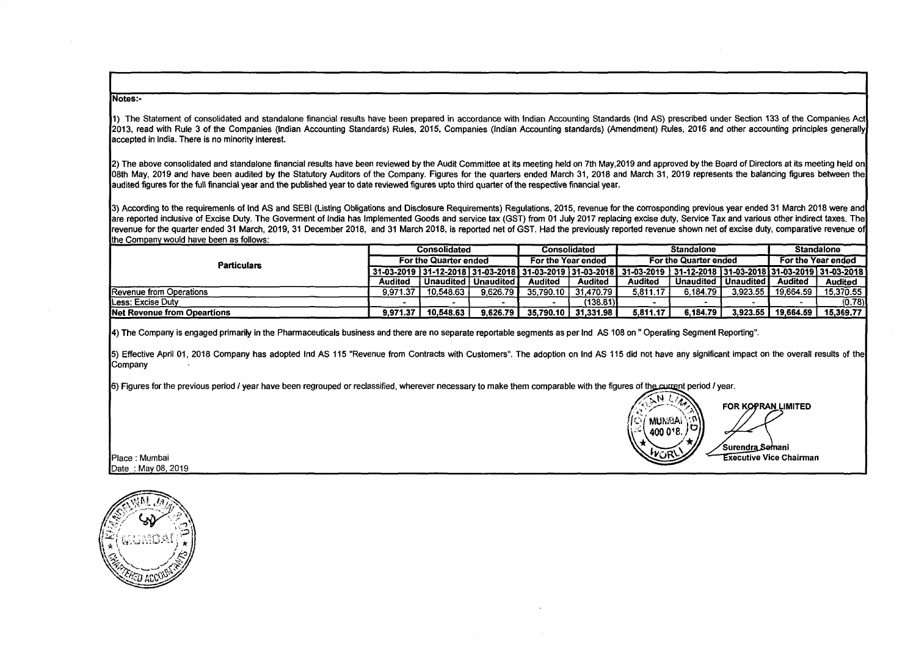#### Notes:-

1) The Statement of consolidated and standalone financial results have been prepared in accordance with Indian Accounting Standards (Ind AS) prescribed under Section 133 of the Companies Act 2013, read with Rule 3 of the Companies (Indian Accounting Standards) Rules, 2015, Companies (Indian Accounting standards) (Amendment) Rules, 2016 and other accounting principles generally accepted in India. There is no minority interest.

2) The above consolidated and standalone financial results have been reviewed by the Audit Committee at its meeting held on 7th May,2019 and approved by the Board of Directors at its meeting held on 08th May, 2019 and have been audited by the Statutory Auditors of the Company. Figures for the quarters ended March 31, 2018 and March 31, 2019 represents the balancing figures between the audited figures for the full financial year and the published year to date reviewed figures upto third quarter of the respective financial year.

3) According to the requiremenls of Ind AS and SEBI (Listing Obligations and Disclosure Requirements) Regulations, 2015, revenue for the corresponding previous year ended 31 March 2018 were and are reported inclusive of Excise Duty. The Goverment of India has Implemented Goods and service tax (GST) from 01 July 2017 replacing excise duty, Service Tax and various other indirect taxes. The revenue for the quarter ended 31 March, 2019, 31 December 2018, and 31 March 2018, is reported net of GST. Had the previously reported revenue shown net of excise duty, comparative revenue of the Comoanv would have been as follows:

|                                     | <b>Consolidated</b>   |                         |          | Consolidated       |           | <b>Standalone</b>                                                                                                                 |           |             | <b>Standalone</b>  |                |
|-------------------------------------|-----------------------|-------------------------|----------|--------------------|-----------|-----------------------------------------------------------------------------------------------------------------------------------|-----------|-------------|--------------------|----------------|
| <b>Particulars</b>                  | For the Quarter ended |                         |          | For the Year ended |           | For the Quarter ended                                                                                                             |           |             | For the Year ended |                |
|                                     |                       |                         |          |                    |           | 31-03-2019   31-12-2018   31-03-2018   31-03-2019   31-03-2018    31-03-2019    31-12-2018   31-03-2018   31-03-2019   31-03-2018 |           |             |                    |                |
|                                     | Audited               | ∣ Unaudited I Unaudited |          | Audited            | Audited   | Audited                                                                                                                           | Unaudited | l Unaudited | Audited            | <b>Audited</b> |
| <b>Revenue from Operations</b>      | 9.971.37              | 10.548.63               | 9.626.79 | 35.790.10          | 31.470.79 | 5.811.17                                                                                                                          | 6.184.79  | 3.923.55    | 19.664.59          | 15,370.55      |
| <b>ILess: Excise Duty</b>           |                       |                         |          |                    | (138.81)  |                                                                                                                                   |           |             |                    | (0.78)         |
| <b>INet Revenue from Opeartions</b> | 9.971.37              | 10.548.63               | 9.626.79 | 35.790.10          | 31.331.98 | 5.811.17                                                                                                                          | 6.184.79  | 3.923.55    | 19.664.59          | 15,369.77      |

4) The Company is engaged primarily in the Pharmaceuticals business and there are no separate reportable segments as per Ind AS 108 on" Operating Segment Reporting".

5) Effective April 01, 2018 Company has adopted Ind AS 115 "Revenue from Contracts with Customers". The adoption on Ind AS 115 did not have any significant impact on the overall results of the Company

6) Figures for the previous period I year have been regrouped or reclassified, wherever necessary to make them comparable with the figures of the current period I year.

 $\mathbb{R}^N$   $\mathbb{Z}^N$  FOR KOPRAN LIMITED  $\frac{1000018}{2000018}$ Surendra Somani Place : Mumbai **Executive Vice Chairman** Place : Executive Vice Chairman

Place : Mumbai<br>Date : May 08, 2019 **- John Date : May 08, 2019** - Date : May 08, 2019 - Date : May 08, 2019 - Date : May 08, 2019

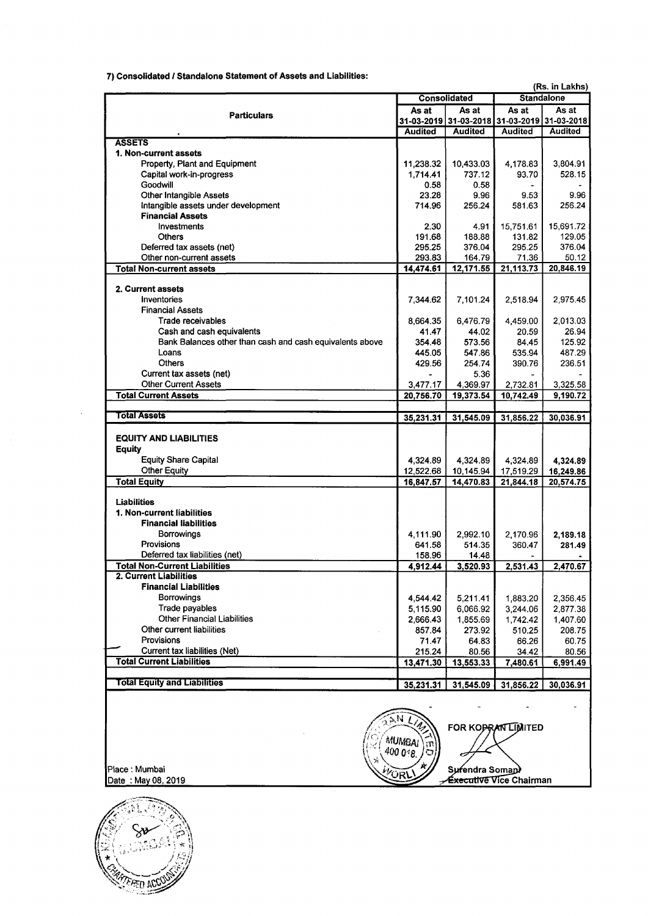7) Consolidated / Standalone Statement of Assets and Liabilities:

|                                                          |                |                                    | (Rs. in Lakhs)<br><b>Standalone</b>                           |           |  |  |
|----------------------------------------------------------|----------------|------------------------------------|---------------------------------------------------------------|-----------|--|--|
|                                                          |                | <b>Consolidated</b>                |                                                               |           |  |  |
| <b>Particulars</b>                                       | As at          | As at                              | As at                                                         | As at     |  |  |
|                                                          |                | <b>Audited</b>                     | 31-03-2019 31-03-2018 31-03-2019 31-03-2018<br><b>Audited</b> | Audited   |  |  |
| <b>ASSETS</b>                                            | <b>Audited</b> |                                    |                                                               |           |  |  |
| 1. Non-current assets                                    |                |                                    |                                                               |           |  |  |
| Property, Plant and Equipment                            | 11,238.32      | 10,433.03                          | 4,178.83                                                      | 3,804.91  |  |  |
| Capital work-in-progress                                 | 1,714.41       | 737.12                             | 93.70                                                         | 528.15    |  |  |
| Goodwill                                                 | 0.58           | 0.58                               |                                                               |           |  |  |
| Other Intangible Assets                                  | 23.28          | 9.96                               | 9.53                                                          | 9.96      |  |  |
| Intangible assets under development                      | 714.96         | 256.24                             | 581.63                                                        | 256.24    |  |  |
| <b>Financial Assets</b>                                  |                |                                    |                                                               |           |  |  |
| Investments                                              | 2.30           | 4.91                               | 15,751.61                                                     | 15,691.72 |  |  |
| <b>Others</b>                                            | 191.68         | 188.88                             | 131.82                                                        | 129.05    |  |  |
| Deferred tax assets (net)                                | 295.25         | 376.04                             | 295.25                                                        | 376.04    |  |  |
| Other non-current assets                                 | 293.83         | 164.79                             | 71.36                                                         | 50.12     |  |  |
| <b>Total Non-current assets</b>                          | 14,474.61      | 12,171.55                          | 21,113.73                                                     | 20,846.19 |  |  |
|                                                          |                |                                    |                                                               |           |  |  |
| 2. Current assets                                        |                |                                    |                                                               |           |  |  |
| Inventories                                              | 7,344.62       | 7,101.24                           | 2,518.94                                                      | 2,975.45  |  |  |
| <b>Financial Assets</b>                                  |                |                                    |                                                               |           |  |  |
| Trade receivables                                        | 8,664.35       | 6,476.79                           | 4,459.00                                                      | 2,013.03  |  |  |
| Cash and cash equivalents                                | 41.47          | 44.02                              | 20.59                                                         | 26.94     |  |  |
| Bank Balances other than cash and cash equivalents above | 354.48         | 573.56                             | 84.45                                                         | 125.92    |  |  |
| Loans                                                    | 445.05         | 547.86                             | 535.94                                                        | 487.29    |  |  |
| <b>Others</b>                                            | 429.56         | 254.74                             | 390.76                                                        | 236.51    |  |  |
| Current tax assets (net)                                 |                | 5.36                               |                                                               |           |  |  |
| <b>Other Current Assets</b>                              | 3,477.17       | 4,369.97                           | 2,732.81                                                      | 3,325.58  |  |  |
| <b>Total Current Assets</b>                              | 20,756.70      | 19,373.54                          | 10,742.49                                                     | 9,190.72  |  |  |
|                                                          |                |                                    |                                                               |           |  |  |
| <b>Total Assets</b>                                      | 35,231.31      | 31,545.09                          | 31,856.22                                                     | 30,036.91 |  |  |
|                                                          |                |                                    |                                                               |           |  |  |
| <b>EQUITY AND LIABILITIES</b>                            |                |                                    |                                                               |           |  |  |
| <b>Equity</b>                                            |                |                                    |                                                               |           |  |  |
| <b>Equity Share Capital</b>                              | 4,324.89       | 4,324.89                           | 4,324.89                                                      | 4,324.89  |  |  |
| <b>Other Equity</b>                                      | 12,522.68      | 10,145.94                          | 17,519.29                                                     | 16,249.86 |  |  |
| <b>Total Equity</b>                                      | 16,847.57      | 14,470.83                          | 21,844.18                                                     | 20,574.75 |  |  |
|                                                          |                |                                    |                                                               |           |  |  |
| Liabilities                                              |                |                                    |                                                               |           |  |  |
| 1. Non-current liabilities                               |                |                                    |                                                               |           |  |  |
| <b>Financial liabilities</b>                             |                |                                    |                                                               |           |  |  |
| Borrowings                                               | 4,111.90       | 2,992.10                           | 2,170.96                                                      | 2,189.18  |  |  |
| Provisions                                               | 641.58         | 514.35                             | 360.47                                                        | 281.49    |  |  |
| Deferred tax liabilities (net)                           | 158.96         | 14.48                              |                                                               |           |  |  |
| <b>Total Non-Current Liabilities</b>                     | 4,912.44       | 3,520.93                           | 2,531.43                                                      | 2,470.67  |  |  |
| 2. Current Liabilities                                   |                |                                    |                                                               |           |  |  |
| <b>Financial Liabilities</b>                             |                |                                    |                                                               |           |  |  |
| <b>Borrowings</b>                                        | 4,544.42       | 5,211.41                           | 1,883.20                                                      | 2,356.45  |  |  |
| Trade payables                                           | 5,115.90       | 6,066.92                           | 3,244.06                                                      | 2,877.38  |  |  |
| <b>Other Financial Liabilities</b>                       | 2,666.43       | 1,855.69                           | 1,742.42                                                      | 1,407.60  |  |  |
| Other current liabilities                                | 857.84         | 273.92                             | 510.25                                                        | 208.75    |  |  |
| Provisions                                               | 71.47          | 64.83                              | 66.26                                                         | 60.75     |  |  |
| Current tax liabilities (Net)                            | 215.24         | 80.56                              | 34.42                                                         | 80.56     |  |  |
| <b>Total Current Liabilities</b>                         | 13,471.30      | 13,553.33                          | 7,480.61                                                      | 6,991.49  |  |  |
|                                                          |                |                                    |                                                               |           |  |  |
| <b>Total Equity and Liabilities</b>                      | 35,231.31      | 31,545.09                          | 31,856.22                                                     | 30,036.91 |  |  |
|                                                          |                |                                    |                                                               |           |  |  |
|                                                          |                |                                    |                                                               |           |  |  |
|                                                          |                |                                    |                                                               |           |  |  |
| SNO<br>FOR KOPRAN LIMITED                                |                |                                    |                                                               |           |  |  |
|                                                          |                |                                    |                                                               |           |  |  |
| <b>MUMBAI</b><br>400 018.                                |                |                                    |                                                               |           |  |  |
|                                                          |                |                                    |                                                               |           |  |  |
| Place : Mumbai                                           |                | Surendra Soman                     |                                                               |           |  |  |
| VOR<br>Date: May 08, 2019                                |                | <del>Éxecutive Vice</del> Chairman |                                                               |           |  |  |

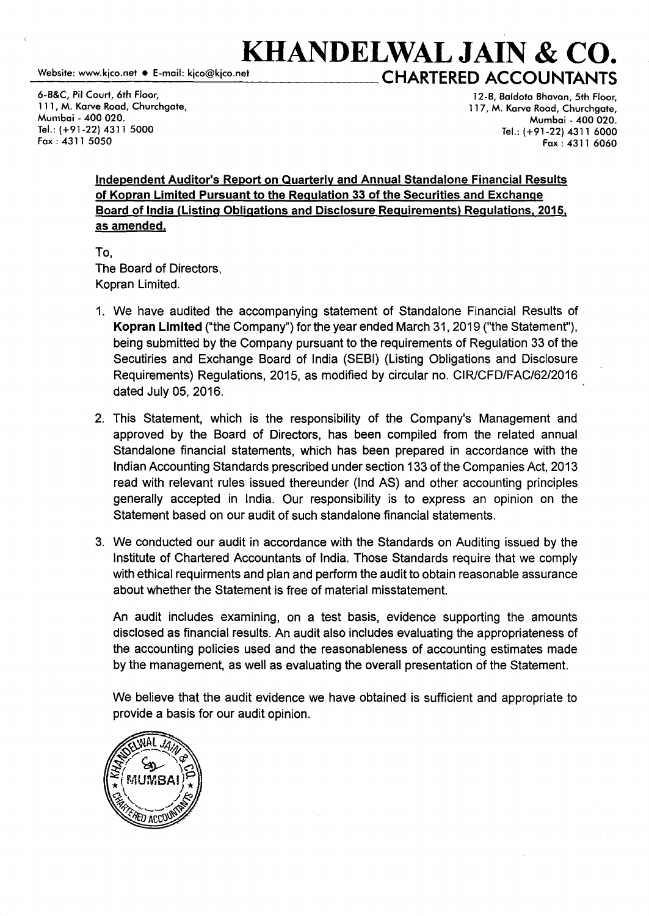## **KHANDELWAL JAIN & CO.**<br>Website: www.kico.net • E-mail: kico@kico.net<br>CHARTERED ACCOUNTANTS **CHARTERED ACCOUNTANTS**

6-B&C, Pil Court, 6th Floor, 111, M. Karve Road, Churchgate, Mumbai - 400 020. Tel.: (+91-22) 4311 5000 Fax: 4311 5050

12-B, Baldota Bhavan, 5th Floor, 117, M. Karve Road, Churchgate, Mumbai - 400 020. Tel.: (+91-22) 4311 6000 Fax: 4311 6060

Independent Auditor's Report on Quarterly and Annual Standalone Financial Results of Kopran Limited Pursuant to the Regulation 33 of the Securities and Exchange Board of India (Listing Obligations and Disclosure Requirements) Regulations. 2015. as amended.

To, The Board of Directors, Kopran Limited.

- 1. We have audited the accompanying statement of Standalone Financial Results of Kopran Limited ("the Company") for the year ended March 31, 2019 ("the Statement"), being submitted by the Company pursuant to the requirements of Regulation 33 of the Secutiries and Exchange Board of India (SEBI) (Listing Obligations and Disclosure Requirements) Regulations, 2015, as modified by circular no. CIR/CFD/FAC/62/2016 dated July 05, 2016.
- 2. This Statement, which is the responsibility of the Company's Management and approved by the Board of Directors, has been compiled from the related annual Standalone financial statements, which has been prepared in accordance with the Indian Accounting Standards prescribed under section 133 of the Companies Act, 2013 read with relevant rules issued thereunder (Ind AS) and other accounting principles generally accepted in India. Our responsibility is to express an opinion on the Statement based on our audit of such standalone financial statements.
- 3. We conducted our audit in accordance with the Standards on Auditing issued by the Institute of Chartered Accountants of India. Those Standards require that we comply with ethical requirments and plan and perform the audit to obtain reasonable assurance about whether the Statement is free of material misstatement.

An audit includes examining, on a test basis, evidence supporting the amounts disclosed as financial results. An audit also includes evaluating the appropriateness of the accounting policies used and the reasonableness of accounting estimates made by the management, as well as evaluating the overall presentation of the Statement.

We believe that the audit evidence we have obtained is sufficient and appropriate to provide a basis for our audit opinion.

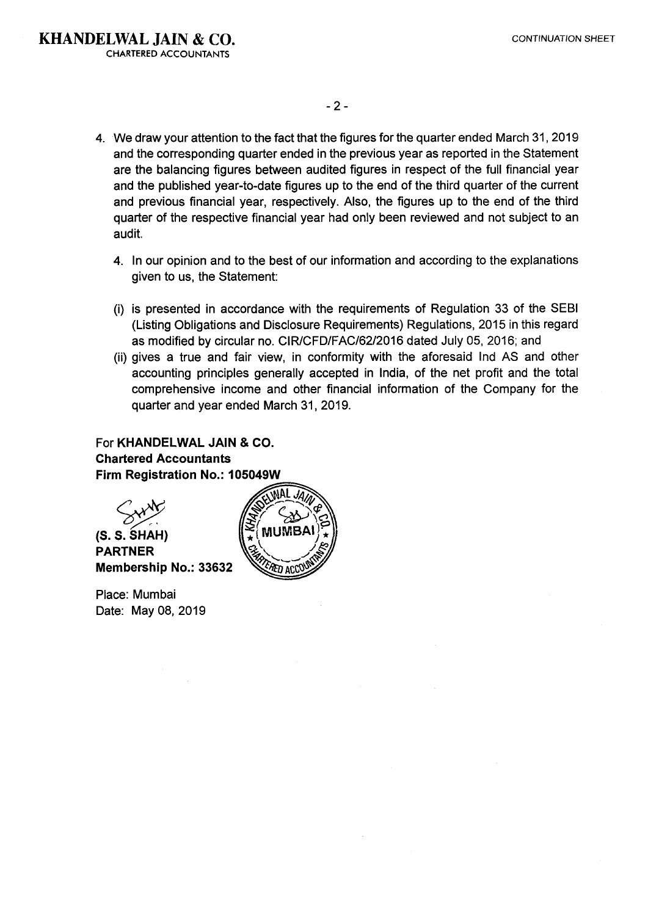- 4. We draw your attention to the fact that the figures for the quarter ended March 31, 2019 and the corresponding quarter ended in the previous year as reported in the Statement are the balancing figures between audited figures in respect of the full financial year and the published year-to-date figures up to the end of the third quarter of the current and previous financial year, respectively. Also, the figures up to the end of the third quarter of the respective financial year had only been reviewed and not subject to an audit.
	- 4. In our opinion and to the best of our information and according to the explanations given to us, the Statement:
	- (i) is presented in accordance with the requirements of Regulation 33 of the SEBI (Listing Obligations and Disclosure Requirements) Regulations, 2015 in this regard as modified by circular no. CIR/CFD/FAC/62/2016 dated July 05, 2016; and
	- (ii) gives a true and fair view, in conformity with the aforesaid Ind AS and other accounting principles generally accepted in India, of the net profit and the total comprehensive income and other financial information of the Company for the quarter and year ended March 31, 2019.

### For **KHANDELWAL JAIN & CO. Chartered Accountants** Firm Registration No.: 105049W



Place: Mumbai Date: May 08, 2019

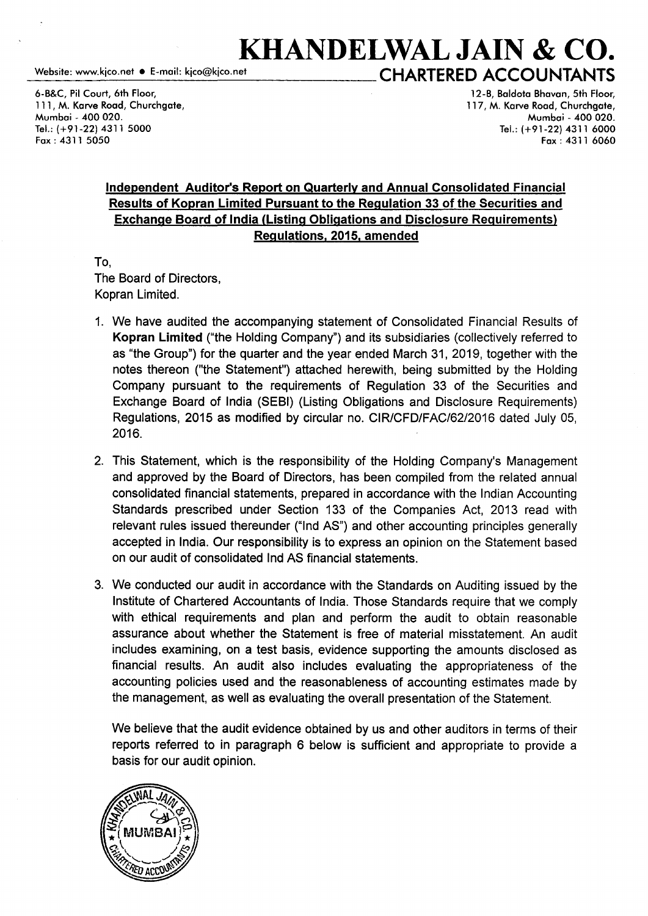# **KHANDELWAL JAIN & CO.**<br>CHARTERED ACCOUNTANTS

6-B&C, Pil Court, 6th Floor, 111, M. Karve Road, Churchgate, Mumbai - 400 020. Tel.: (+91-22) 4311 5000 Fax: 4311 5050

12-B, Baldota Bhavan, 5th Floor, 117, M. Karve Road, Churchgate, Mumbai - 400 020. Tel.: (+91-22) 4311 6000 Fax: 4311 6060

### Independent Auditor's Report on Quarterly and Annual Consolidated Financial Results of Kopran Limited Pursuant to the Regulation 33 of the Securities and Exchange Board of India (Listing Obligations and Disclosure Requirements) Regulations, 2015, amended

To,

The Board of Directors, Kopran Limited.

- 1. We have audited the accompanying statement of Consolidated Financial Results of Kopran Limited ("the Holding Company") and its subsidiaries (collectively referred to as "the Group") for the quarter and the year ended March 31, 2019, together with the notes thereon ("the Statement") attached herewith, being submitted by the Holding Company pursuant to the requirements of Regulation 33 of the Securities and Exchange Board of India (SEBI) (Listing Obligations and Disclosure Requirements) Regulations, 2015 as modified by circular no. CIR/CFD/FAC/62/2016 dated July 05, 2016.
- 2. This Statement, which is the responsibility of the Holding Company's Management and approved by the Board of Directors, has been compiled from the related annual consolidated financial statements, prepared in accordance with the Indian Accounting Standards prescribed under Section 133 of the Companies Act, 2013 read with relevant rules issued thereunder ("Ind AS") and other accounting principles generally accepted in India. Our responsibility is to express an opinion on the Statement based on our audit of consolidated Ind AS financial statements.
- 3. We conducted our audit in accordance with the Standards on Auditing issued by the Institute of Chartered Accountants of India. Those Standards require that we comply with ethical requirements and plan and perform the audit to obtain reasonable assurance about whether the Statement is free of material misstatement. An audit includes examining, on a test basis, evidence supporting the amounts disclosed as financial results. An audit also includes evaluating the appropriateness of the accounting policies used and the reasonableness of accounting estimates made by the management, as well as evaluating the overall presentation of the Statement.

We believe that the audit evidence obtained by us and other auditors in terms of their reports referred to in paragraph 6 below is sufficient and appropriate to provide a basis for our audit opinion.

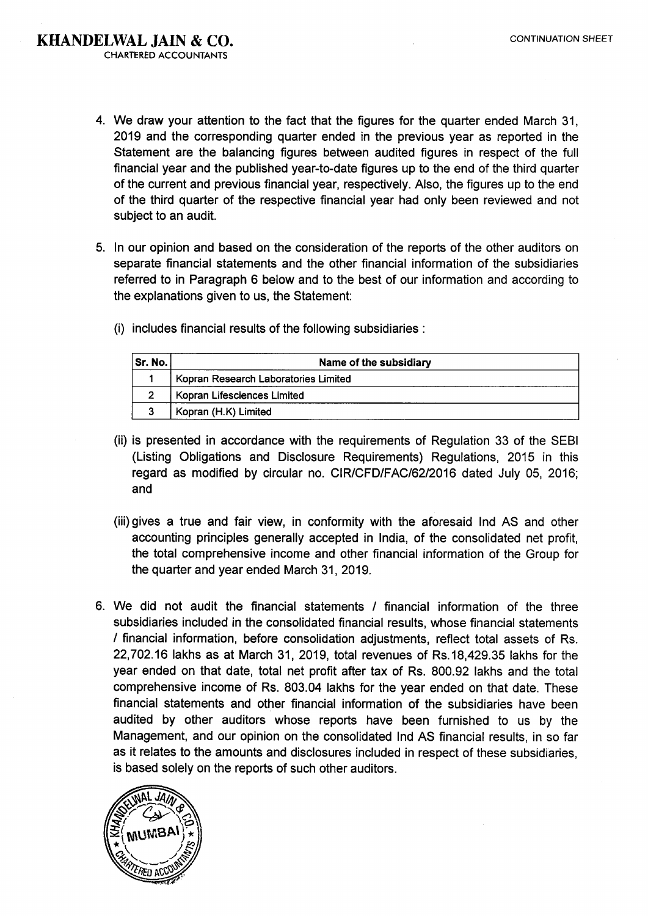- 4. We draw your attention to the fact that the figures for the quarter ended March 31, 2019 and the corresponding quarter ended in the previous year as reported in the Statement are the balancing figures between audited figures in respect of the full financial year and the published year-to-date figures up to the end of the third quarter of the current and previous financial year, respectively. Also, the figures up to the end of the third quarter of the respective financial year had only been reviewed and not subject to an audit.
- 5. In our opinion and based on the consideration of the reports of the other auditors on separate financial statements and the other financial information of the subsidiaries referred to in Paragraph 6 below and to the best of our information and according to the explanations given to us, the Statement:
	- Sr. No. Name of the subsidiary 1 | Kopran Research Laboratories Limited 2 Kopran Lifesciences Limited 3 Kopran (H.K) Limited
	-

(i) includes financial results of the following subsidiaries :

- (ii) is presented in accordance with the requirements of Regulation 33 of the SEBI (Listing Obligations and Disclosure Requirements) Regulations, 2015 in this regard as modified by circular no. CIR/CFD/FAC/62/2016 dated July 05, 2016; and
- (iii) gives a true and fair view, in conformity with the aforesaid Ind AS and other accounting principles generally accepted in India, of the consolidated net profit, the total comprehensive income and other financial information of the Group for the quarter and year ended March 31, 2019.
- 6. We did not audit the financial statements / financial information of the three subsidiaries included in the consolidated financial results, whose financial statements I financial information, before consolidation adjustments, reflect total assets of Rs. 22, 702.16 lakhs as at March 31, 2019, total revenues of Rs.18,429.35 lakhs for the year ended on that date, total net profit after tax of Rs. 800.92 lakhs and the total comprehensive income of Rs. 803.04 lakhs for the year ended on that date. These financial statements and other financial information of the subsidiaries have been audited by other auditors whose reports have been furnished to us by the Management, and our opinion on the consolidated Ind AS financial results, in so far as it relates to the amounts and disclosures included in respect of these subsidiaries, is based solely on the reports of such other auditors.